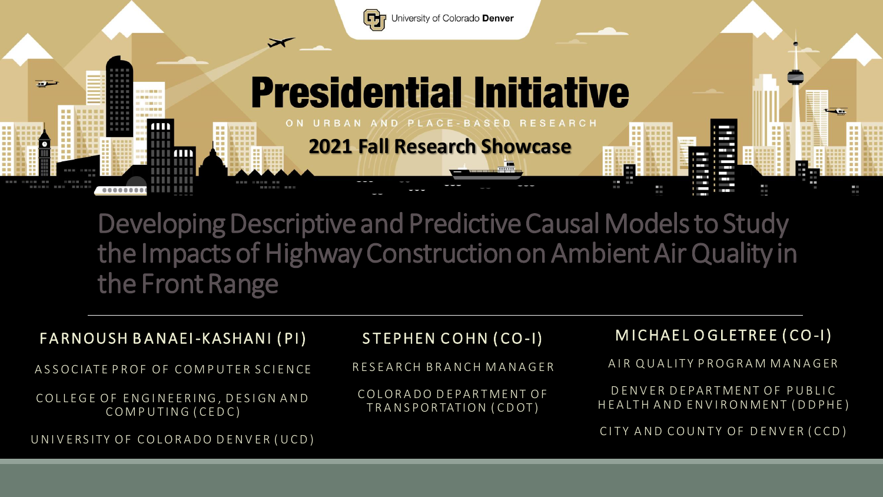

Developing Descriptive and Predictive Causal Models to Study the Impacts of Highway Construction on Ambient Air Quality in the Front Range

| FARNOUSH BANAEI-KASHANI (PI)                           | STEPHEN COHN (CO-I)                             | MICHAEL OGLETREE (CO-I)                                       |
|--------------------------------------------------------|-------------------------------------------------|---------------------------------------------------------------|
| ASSOCIATE PROF OF COMPUTER SCIENCE                     | RESEARCH BRANCH MANAGER                         | AIR QUALITY PROGRAM MANAGER                                   |
| COLLEGE OF ENGINEERING, DESIGN AND<br>COMPUTING (CEDC) | COLORADO DEPARTMENT OF<br>TRANSPORTATION (CDOT) | DENVER DEPARTMENT OF PUBLIC<br>HEALTH AND ENVIRONMENT (DDPHE) |
| UNIVERSITY OF COLORADO DENVER (UCD)                    |                                                 | CITY AND COUNTY OF DENVER (CCD)                               |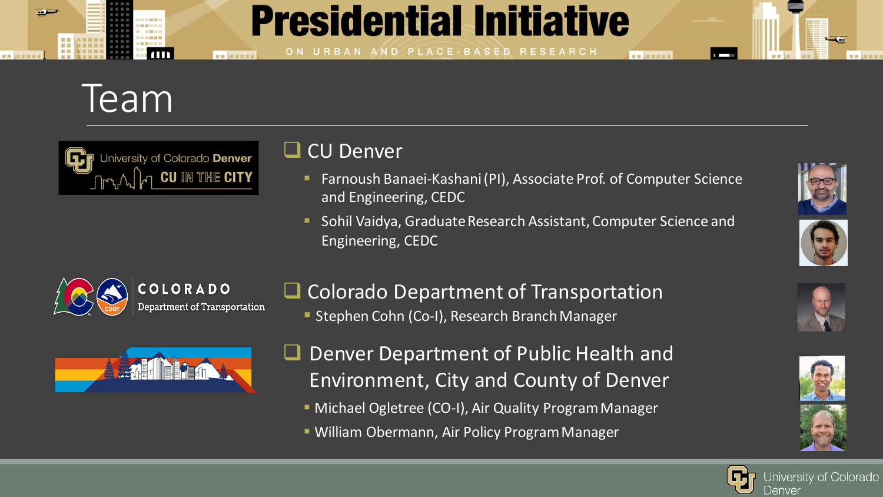### **Presidential Initiative**

URBAN AND PLACE-BASED RESEARCH

### Team



**NO ARRIVE** 

#### ❑ CU Denver

▪ Farnoush Banaei-Kashani (PI), Associate Prof. of Computer Science and Engineering, CEDC

**NE MENER** 

Sohil Vaidya, Graduate Research Assistant, Computer Science and Engineering, CEDC



- ❑ Colorado Department of Transportation
	- **E** Stephen Cohn (Co-I), Research Branch Manager



- Denver Department of Public Health and Environment, City and County of Denver
	- **EXPERITHERE** (CO-I), Air Quality Program Manager
	- **E** William Obermann, Air Policy Program Manager











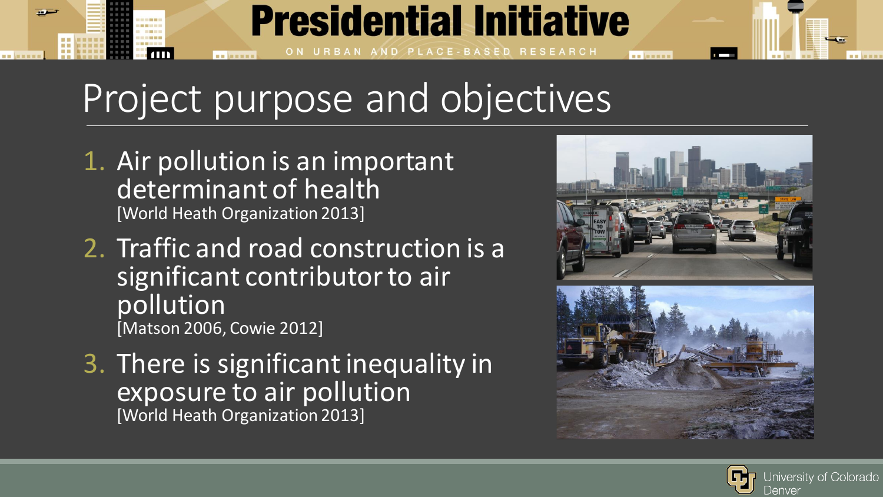# Project purpose and objectives

**Presidential Initiative** 

PLACE-BASED RESEARCH

1. Air pollution is an important determinant of health [World Heath Organization 2013]

. . . . . . .

- 2. Traffic and road construction is a significant contributor to air pollution [Matson 2006, Cowie 2012]
- 3. There is significant inequality in exposure to air pollution [World Heath Organization 2013]



**BU MESS** 



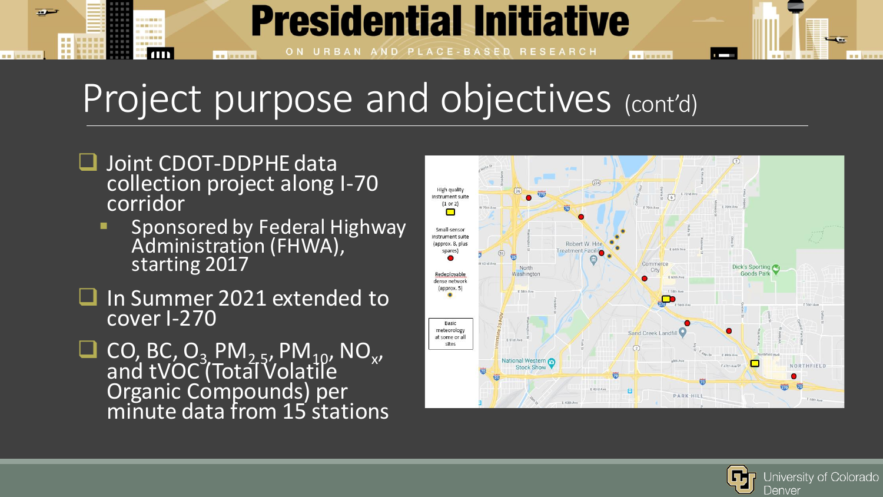# Project purpose and objectives (cont'd)

**Presidential Initiative** 

PLACE-BASED RESEARCH

❑ Joint CDOT-DDPHE data collection project along I-70 corridor

**NO ARRIVE** 

سم

----

 $\blacksquare$ 

- Sponsored by Federal Highway Administration (FHWA), starting 2017
- In Summer 2021 extended to cover I-270
- □ CO, BC, O<sub>3</sub> PM<sub>2-5</sub>, PM<sub>10</sub>, NO<sub>x</sub>, and tVOC (Total Volatile Organic Compounds) per minute data from 15 stations



**BB** MENER

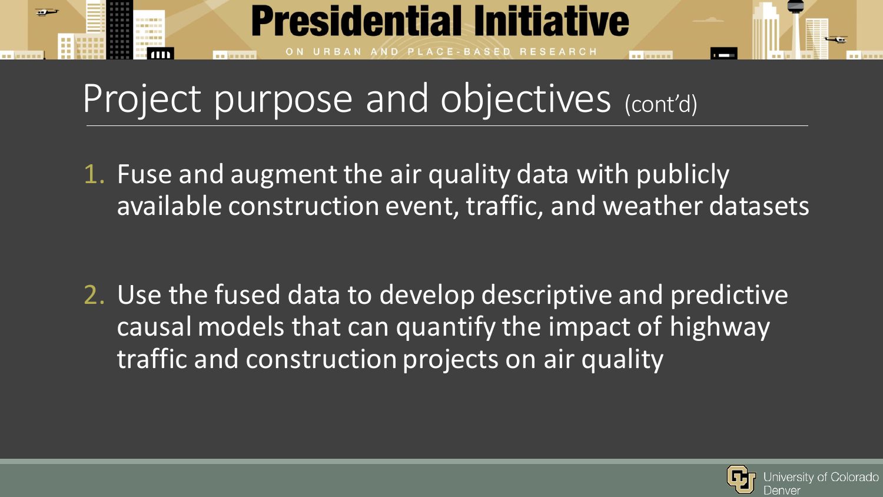

## Project purpose and objectives (cont'd)

1. Fuse and augment the air quality data with publicly available construction event, traffic, and weather datasets

2. Use the fused data to develop descriptive and predictive causal models that can quantify the impact of highway traffic and construction projects on air quality

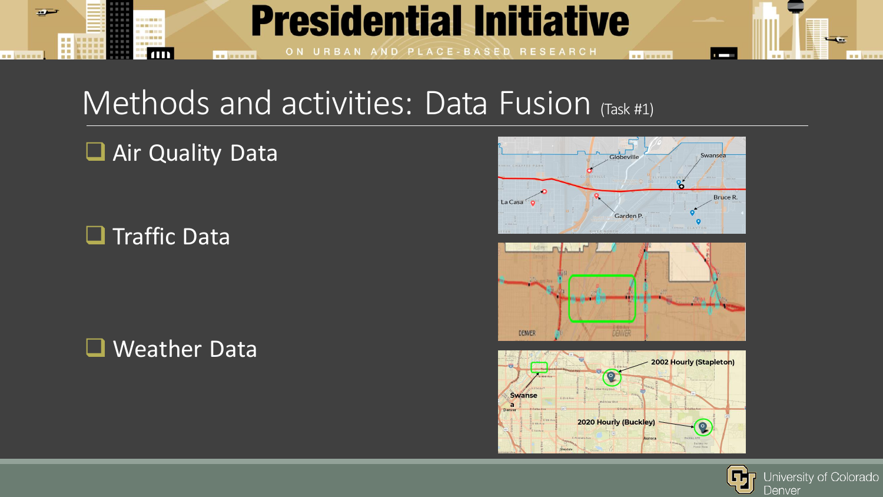

### Methods and activities: Data Fusion (Task #1)

#### ■ Air Quality Data

❑ Traffic Data

❑ Weather Data







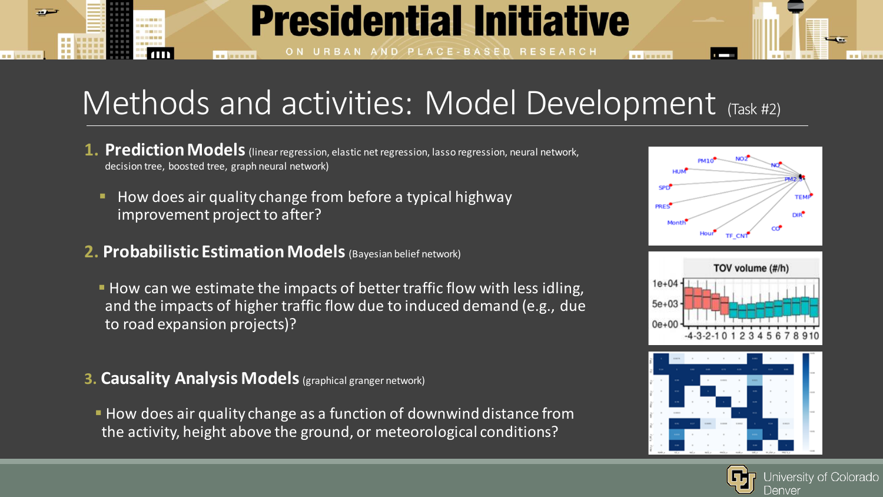### Methods and activities: Model Development (Task #2)

**Presidential Initiative** 

AND PLACE-BASED RESEARCH

- **1. Prediction Models** (linear regression, elastic net regression, lasso regression, neural network, decision tree, boosted tree, graph neural network)
	- How does air quality change from before a typical highway improvement project to after?
- **2. Probabilistic Estimation Models** (Bayesian belief network)

**NO ARRIVER** 

- How can we estimate the impacts of better traffic flow with less idling, and the impacts of higher traffic flow due to induced demand (e.g., due to road expansion projects)?
- **3. Causality Analysis Models** (graphical granger network)
- **EX How does air quality change as a function of downwind distance from** the activity, height above the ground, or meteorological conditions?



**BU MESS** 





Jniversity of Colorado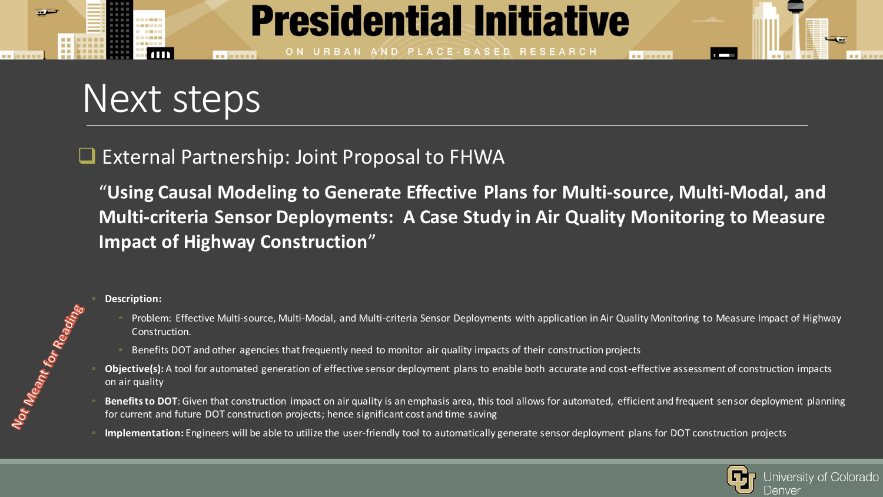

## Next steps

#### ❑ External Partnership: Joint Proposal to FHWA

"**Using Causal Modeling to Generate Effective Plans for Multi-source, Multi-Modal, and Multi-criteria Sensor Deployments: A Case Study in Air Quality Monitoring to Measure Impact of Highway Construction**"

◦ **Description:** 

Not Meant for Reading

- Problem: Effective Multi-source, Multi-Modal, and Multi-criteria Sensor Deployments with application in Air Quality Monitoring to Measure Impact of Highway Construction.
- Benefits DOT and other agencies that frequently need to monitor air quality impacts of their construction projects
- **Objective(s):** A tool for automated generation of effective sensor deployment plans to enable both accurate and cost-effective assessment of construction impacts on air quality
- Benefits to DOT: Given that construction impact on air quality is an emphasis area, this tool allows for automated, efficient and frequent sensor deployment planning for current and future DOT construction projects; hence significant cost and time saving
- Implementation: Engineers will be able to utilize the user-friendly tool to automatically generate sensor deployment plans for DOT construction projects